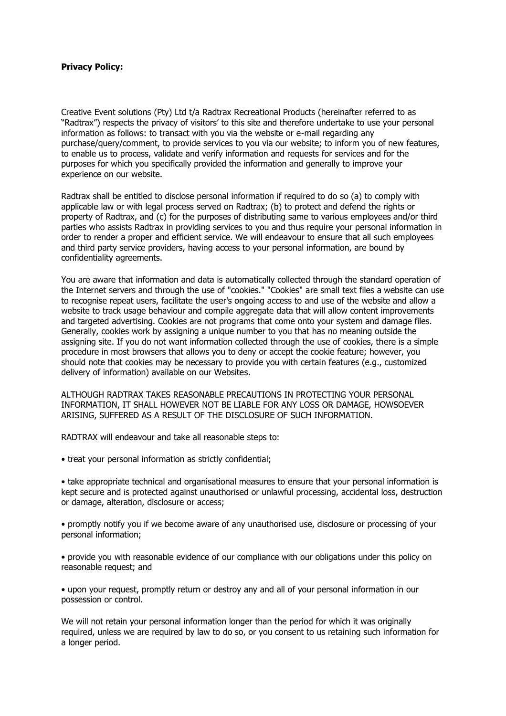## **Privacy Policy:**

Creative Event solutions (Pty) Ltd t/a Radtrax Recreational Products (hereinafter referred to as "Radtrax") respects the privacy of visitors' to this site and therefore undertake to use your personal information as follows: to transact with you via the website or e-mail regarding any purchase/query/comment, to provide services to you via our website; to inform you of new features, to enable us to process, validate and verify information and requests for services and for the purposes for which you specifically provided the information and generally to improve your experience on our website.

Radtrax shall be entitled to disclose personal information if required to do so (a) to comply with applicable law or with legal process served on Radtrax; (b) to protect and defend the rights or property of Radtrax, and (c) for the purposes of distributing same to various employees and/or third parties who assists Radtrax in providing services to you and thus require your personal information in order to render a proper and efficient service. We will endeavour to ensure that all such employees and third party service providers, having access to your personal information, are bound by confidentiality agreements.

You are aware that information and data is automatically collected through the standard operation of the Internet servers and through the use of "cookies." "Cookies" are small text files a website can use to recognise repeat users, facilitate the user's ongoing access to and use of the website and allow a website to track usage behaviour and compile aggregate data that will allow content improvements and targeted advertising. Cookies are not programs that come onto your system and damage files. Generally, cookies work by assigning a unique number to you that has no meaning outside the assigning site. If you do not want information collected through the use of cookies, there is a simple procedure in most browsers that allows you to deny or accept the cookie feature; however, you should note that cookies may be necessary to provide you with certain features (e.g., customized delivery of information) available on our Websites.

ALTHOUGH RADTRAX TAKES REASONABLE PRECAUTIONS IN PROTECTING YOUR PERSONAL INFORMATION, IT SHALL HOWEVER NOT BE LIABLE FOR ANY LOSS OR DAMAGE, HOWSOEVER ARISING, SUFFERED AS A RESULT OF THE DISCLOSURE OF SUCH INFORMATION.

RADTRAX will endeavour and take all reasonable steps to:

• treat your personal information as strictly confidential;

• take appropriate technical and organisational measures to ensure that your personal information is kept secure and is protected against unauthorised or unlawful processing, accidental loss, destruction or damage, alteration, disclosure or access;

• promptly notify you if we become aware of any unauthorised use, disclosure or processing of your personal information;

• provide you with reasonable evidence of our compliance with our obligations under this policy on reasonable request; and

• upon your request, promptly return or destroy any and all of your personal information in our possession or control.

We will not retain your personal information longer than the period for which it was originally required, unless we are required by law to do so, or you consent to us retaining such information for a longer period.